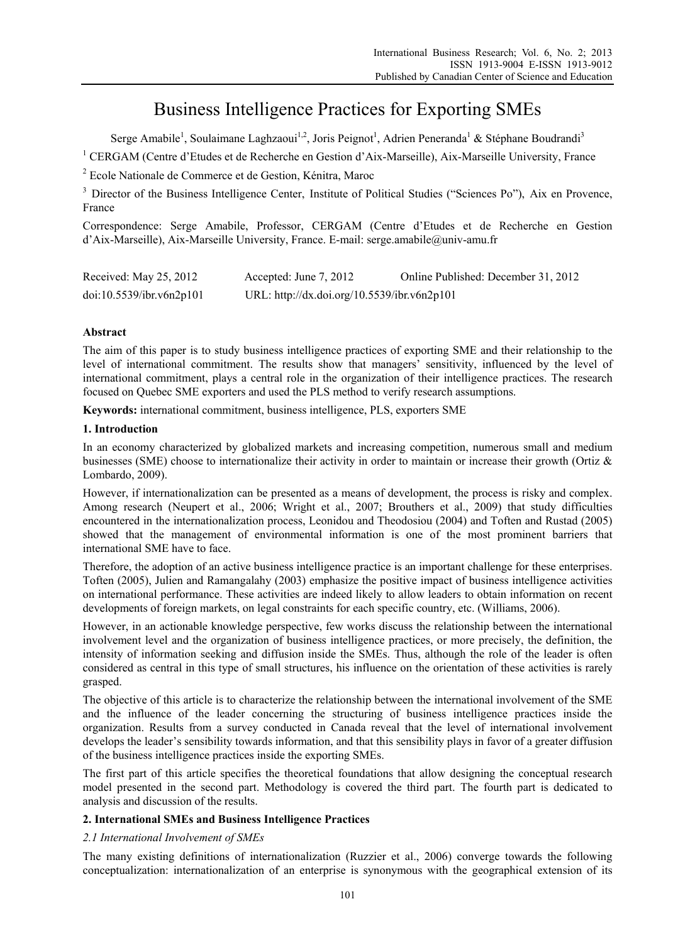# Business Intelligence Practices for Exporting SMEs

Serge Amabile<sup>1</sup>, Soulaimane Laghzaoui<sup>1,2</sup>, Joris Peignot<sup>1</sup>, Adrien Peneranda<sup>1</sup> & Stéphane Boudrandi<sup>3</sup>

<sup>1</sup> CERGAM (Centre d'Etudes et de Recherche en Gestion d'Aix-Marseille), Aix-Marseille University, France

2 Ecole Nationale de Commerce et de Gestion, Kénitra, Maroc

<sup>3</sup> Director of the Business Intelligence Center, Institute of Political Studies ("Sciences Po"), Aix en Provence, France

Correspondence: Serge Amabile, Professor, CERGAM (Centre d'Etudes et de Recherche en Gestion d'Aix-Marseille), Aix-Marseille University, France. E-mail: serge.amabile@univ-amu.fr

| Received: May 25, 2012   | Accepted: June 7, 2012                      | Online Published: December 31, 2012 |
|--------------------------|---------------------------------------------|-------------------------------------|
| doi:10.5539/ibr.v6n2p101 | URL: http://dx.doi.org/10.5539/ibr.v6n2p101 |                                     |

# **Abstract**

The aim of this paper is to study business intelligence practices of exporting SME and their relationship to the level of international commitment. The results show that managers' sensitivity, influenced by the level of international commitment, plays a central role in the organization of their intelligence practices. The research focused on Quebec SME exporters and used the PLS method to verify research assumptions.

**Keywords:** international commitment, business intelligence, PLS, exporters SME

# **1. Introduction**

In an economy characterized by globalized markets and increasing competition, numerous small and medium businesses (SME) choose to internationalize their activity in order to maintain or increase their growth (Ortiz & Lombardo, 2009).

However, if internationalization can be presented as a means of development, the process is risky and complex. Among research (Neupert et al., 2006; Wright et al., 2007; Brouthers et al., 2009) that study difficulties encountered in the internationalization process, Leonidou and Theodosiou (2004) and Toften and Rustad (2005) showed that the management of environmental information is one of the most prominent barriers that international SME have to face.

Therefore, the adoption of an active business intelligence practice is an important challenge for these enterprises. Toften (2005), Julien and Ramangalahy (2003) emphasize the positive impact of business intelligence activities on international performance. These activities are indeed likely to allow leaders to obtain information on recent developments of foreign markets, on legal constraints for each specific country, etc. (Williams, 2006).

However, in an actionable knowledge perspective, few works discuss the relationship between the international involvement level and the organization of business intelligence practices, or more precisely, the definition, the intensity of information seeking and diffusion inside the SMEs. Thus, although the role of the leader is often considered as central in this type of small structures, his influence on the orientation of these activities is rarely grasped.

The objective of this article is to characterize the relationship between the international involvement of the SME and the influence of the leader concerning the structuring of business intelligence practices inside the organization. Results from a survey conducted in Canada reveal that the level of international involvement develops the leader's sensibility towards information, and that this sensibility plays in favor of a greater diffusion of the business intelligence practices inside the exporting SMEs.

The first part of this article specifies the theoretical foundations that allow designing the conceptual research model presented in the second part. Methodology is covered the third part. The fourth part is dedicated to analysis and discussion of the results.

# **2. International SMEs and Business Intelligence Practices**

# *2.1 International Involvement of SMEs*

The many existing definitions of internationalization (Ruzzier et al., 2006) converge towards the following conceptualization: internationalization of an enterprise is synonymous with the geographical extension of its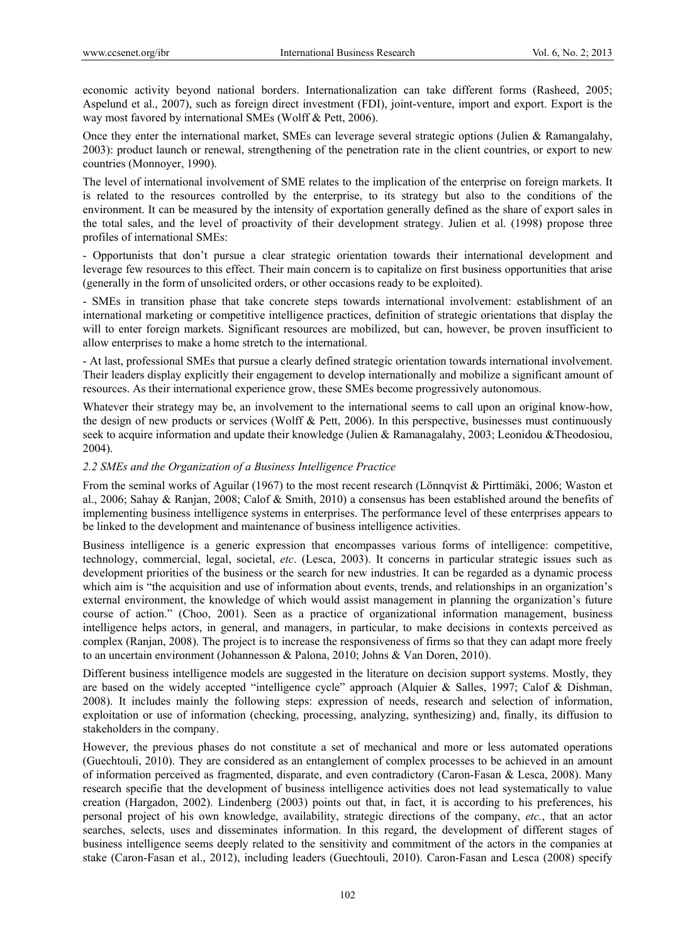economic activity beyond national borders. Internationalization can take different forms (Rasheed, 2005; Aspelund et al., 2007), such as foreign direct investment (FDI), joint-venture, import and export. Export is the way most favored by international SMEs (Wolff & Pett, 2006).

Once they enter the international market, SMEs can leverage several strategic options (Julien & Ramangalahy, 2003): product launch or renewal, strengthening of the penetration rate in the client countries, or export to new countries (Monnoyer, 1990).

The level of international involvement of SME relates to the implication of the enterprise on foreign markets. It is related to the resources controlled by the enterprise, to its strategy but also to the conditions of the environment. It can be measured by the intensity of exportation generally defined as the share of export sales in the total sales, and the level of proactivity of their development strategy. Julien et al. (1998) propose three profiles of international SMEs:

- Opportunists that don't pursue a clear strategic orientation towards their international development and leverage few resources to this effect. Their main concern is to capitalize on first business opportunities that arise (generally in the form of unsolicited orders, or other occasions ready to be exploited).

- SMEs in transition phase that take concrete steps towards international involvement: establishment of an international marketing or competitive intelligence practices, definition of strategic orientations that display the will to enter foreign markets. Significant resources are mobilized, but can, however, be proven insufficient to allow enterprises to make a home stretch to the international.

- At last, professional SMEs that pursue a clearly defined strategic orientation towards international involvement. Their leaders display explicitly their engagement to develop internationally and mobilize a significant amount of resources. As their international experience grow, these SMEs become progressively autonomous.

Whatever their strategy may be, an involvement to the international seems to call upon an original know-how, the design of new products or services (Wolff & Pett, 2006). In this perspective, businesses must continuously seek to acquire information and update their knowledge (Julien & Ramanagalahy, 2003; Leonidou &Theodosiou, 2004).

# *2.2 SMEs and the Organization of a Business Intelligence Practice*

From the seminal works of Aguilar (1967) to the most recent research (Lönnqvist & Pirttimäki, 2006; Waston et al., 2006; Sahay & Ranjan, 2008; Calof & Smith, 2010) a consensus has been established around the benefits of implementing business intelligence systems in enterprises. The performance level of these enterprises appears to be linked to the development and maintenance of business intelligence activities.

Business intelligence is a generic expression that encompasses various forms of intelligence: competitive, technology, commercial, legal, societal, *etc*. (Lesca, 2003). It concerns in particular strategic issues such as development priorities of the business or the search for new industries. It can be regarded as a dynamic process which aim is "the acquisition and use of information about events, trends, and relationships in an organization's external environment, the knowledge of which would assist management in planning the organization's future course of action." (Choo, 2001). Seen as a practice of organizational information management, business intelligence helps actors, in general, and managers, in particular, to make decisions in contexts perceived as complex (Ranjan, 2008). The project is to increase the responsiveness of firms so that they can adapt more freely to an uncertain environment (Johannesson & Palona, 2010; Johns & Van Doren, 2010).

Different business intelligence models are suggested in the literature on decision support systems. Mostly, they are based on the widely accepted "intelligence cycle" approach (Alquier & Salles, 1997; Calof & Dishman, 2008). It includes mainly the following steps: expression of needs, research and selection of information, exploitation or use of information (checking, processing, analyzing, synthesizing) and, finally, its diffusion to stakeholders in the company.

However, the previous phases do not constitute a set of mechanical and more or less automated operations (Guechtouli, 2010). They are considered as an entanglement of complex processes to be achieved in an amount of information perceived as fragmented, disparate, and even contradictory (Caron-Fasan & Lesca, 2008). Many research specifie that the development of business intelligence activities does not lead systematically to value creation (Hargadon, 2002). Lindenberg (2003) points out that, in fact, it is according to his preferences, his personal project of his own knowledge, availability, strategic directions of the company, *etc.*, that an actor searches, selects, uses and disseminates information. In this regard, the development of different stages of business intelligence seems deeply related to the sensitivity and commitment of the actors in the companies at stake (Caron-Fasan et al., 2012), including leaders (Guechtouli, 2010). Caron-Fasan and Lesca (2008) specify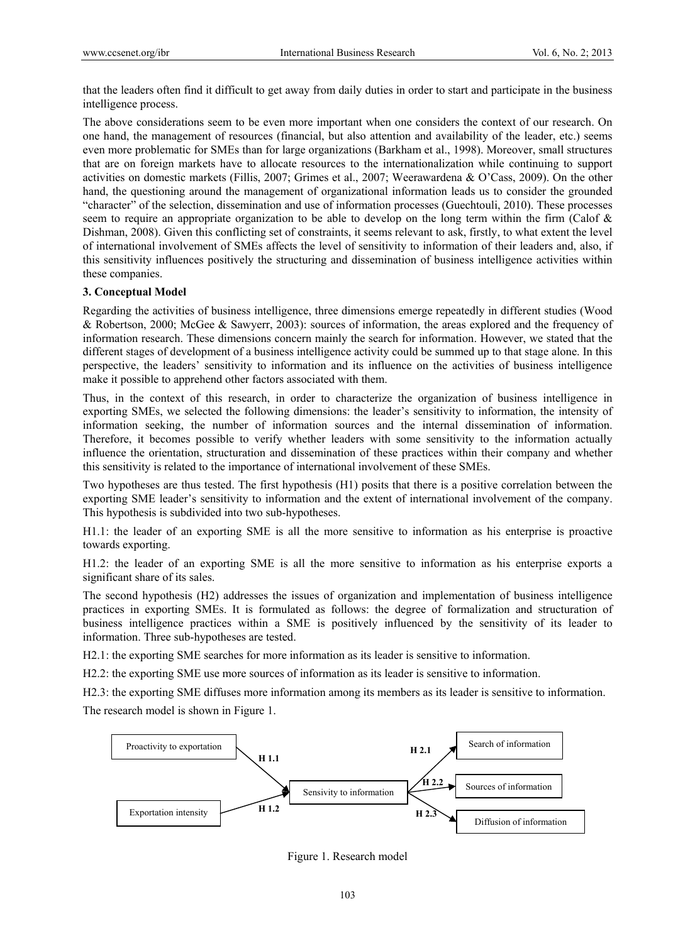that the leaders often find it difficult to get away from daily duties in order to start and participate in the business intelligence process.

The above considerations seem to be even more important when one considers the context of our research. On one hand, the management of resources (financial, but also attention and availability of the leader, etc.) seems even more problematic for SMEs than for large organizations (Barkham et al., 1998). Moreover, small structures that are on foreign markets have to allocate resources to the internationalization while continuing to support activities on domestic markets (Fillis, 2007; Grimes et al., 2007; Weerawardena & O'Cass, 2009). On the other hand, the questioning around the management of organizational information leads us to consider the grounded "character" of the selection, dissemination and use of information processes (Guechtouli, 2010). These processes seem to require an appropriate organization to be able to develop on the long term within the firm (Calof & Dishman, 2008). Given this conflicting set of constraints, it seems relevant to ask, firstly, to what extent the level of international involvement of SMEs affects the level of sensitivity to information of their leaders and, also, if this sensitivity influences positively the structuring and dissemination of business intelligence activities within these companies.

#### **3. Conceptual Model**

Regarding the activities of business intelligence, three dimensions emerge repeatedly in different studies (Wood & Robertson, 2000; McGee & Sawyerr, 2003): sources of information, the areas explored and the frequency of information research. These dimensions concern mainly the search for information. However, we stated that the different stages of development of a business intelligence activity could be summed up to that stage alone. In this perspective, the leaders' sensitivity to information and its influence on the activities of business intelligence make it possible to apprehend other factors associated with them.

Thus, in the context of this research, in order to characterize the organization of business intelligence in exporting SMEs, we selected the following dimensions: the leader's sensitivity to information, the intensity of information seeking, the number of information sources and the internal dissemination of information. Therefore, it becomes possible to verify whether leaders with some sensitivity to the information actually influence the orientation, structuration and dissemination of these practices within their company and whether this sensitivity is related to the importance of international involvement of these SMEs.

Two hypotheses are thus tested. The first hypothesis (H1) posits that there is a positive correlation between the exporting SME leader's sensitivity to information and the extent of international involvement of the company. This hypothesis is subdivided into two sub-hypotheses.

H1.1: the leader of an exporting SME is all the more sensitive to information as his enterprise is proactive towards exporting.

H1.2: the leader of an exporting SME is all the more sensitive to information as his enterprise exports a significant share of its sales.

The second hypothesis (H2) addresses the issues of organization and implementation of business intelligence practices in exporting SMEs. It is formulated as follows: the degree of formalization and structuration of business intelligence practices within a SME is positively influenced by the sensitivity of its leader to information. Three sub-hypotheses are tested.

H2.1: the exporting SME searches for more information as its leader is sensitive to information.

H2.2: the exporting SME use more sources of information as its leader is sensitive to information.

H2.3: the exporting SME diffuses more information among its members as its leader is sensitive to information.

The research model is shown in Figure 1.



Figure 1. Research model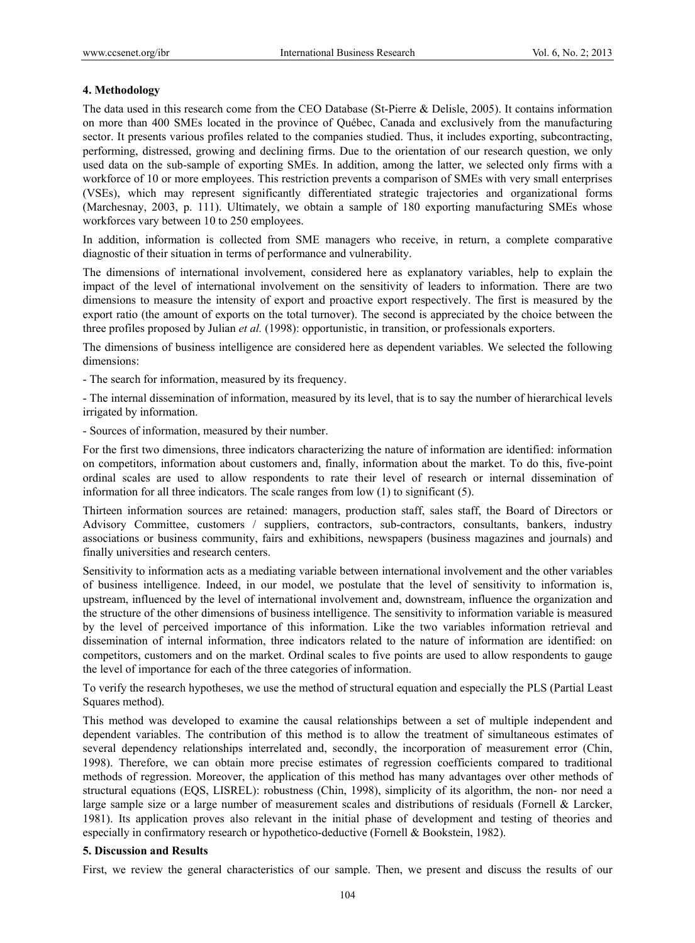# **4. Methodology**

The data used in this research come from the CEO Database (St-Pierre & Delisle, 2005). It contains information on more than 400 SMEs located in the province of Québec, Canada and exclusively from the manufacturing sector. It presents various profiles related to the companies studied. Thus, it includes exporting, subcontracting, performing, distressed, growing and declining firms. Due to the orientation of our research question, we only used data on the sub-sample of exporting SMEs. In addition, among the latter, we selected only firms with a workforce of 10 or more employees. This restriction prevents a comparison of SMEs with very small enterprises (VSEs), which may represent significantly differentiated strategic trajectories and organizational forms (Marchesnay, 2003, p. 111). Ultimately, we obtain a sample of 180 exporting manufacturing SMEs whose workforces vary between 10 to 250 employees.

In addition, information is collected from SME managers who receive, in return, a complete comparative diagnostic of their situation in terms of performance and vulnerability.

The dimensions of international involvement, considered here as explanatory variables, help to explain the impact of the level of international involvement on the sensitivity of leaders to information. There are two dimensions to measure the intensity of export and proactive export respectively. The first is measured by the export ratio (the amount of exports on the total turnover). The second is appreciated by the choice between the three profiles proposed by Julian *et al.* (1998): opportunistic, in transition, or professionals exporters.

The dimensions of business intelligence are considered here as dependent variables. We selected the following dimensions:

- The search for information, measured by its frequency.

- The internal dissemination of information, measured by its level, that is to say the number of hierarchical levels irrigated by information.

- Sources of information, measured by their number.

For the first two dimensions, three indicators characterizing the nature of information are identified: information on competitors, information about customers and, finally, information about the market. To do this, five-point ordinal scales are used to allow respondents to rate their level of research or internal dissemination of information for all three indicators. The scale ranges from low (1) to significant (5).

Thirteen information sources are retained: managers, production staff, sales staff, the Board of Directors or Advisory Committee, customers / suppliers, contractors, sub-contractors, consultants, bankers, industry associations or business community, fairs and exhibitions, newspapers (business magazines and journals) and finally universities and research centers.

Sensitivity to information acts as a mediating variable between international involvement and the other variables of business intelligence. Indeed, in our model, we postulate that the level of sensitivity to information is, upstream, influenced by the level of international involvement and, downstream, influence the organization and the structure of the other dimensions of business intelligence. The sensitivity to information variable is measured by the level of perceived importance of this information. Like the two variables information retrieval and dissemination of internal information, three indicators related to the nature of information are identified: on competitors, customers and on the market. Ordinal scales to five points are used to allow respondents to gauge the level of importance for each of the three categories of information.

To verify the research hypotheses, we use the method of structural equation and especially the PLS (Partial Least Squares method).

This method was developed to examine the causal relationships between a set of multiple independent and dependent variables. The contribution of this method is to allow the treatment of simultaneous estimates of several dependency relationships interrelated and, secondly, the incorporation of measurement error (Chin, 1998). Therefore, we can obtain more precise estimates of regression coefficients compared to traditional methods of regression. Moreover, the application of this method has many advantages over other methods of structural equations (EQS, LISREL): robustness (Chin, 1998), simplicity of its algorithm, the non- nor need a large sample size or a large number of measurement scales and distributions of residuals (Fornell & Larcker, 1981). Its application proves also relevant in the initial phase of development and testing of theories and especially in confirmatory research or hypothetico-deductive (Fornell & Bookstein, 1982).

# **5. Discussion and Results**

First, we review the general characteristics of our sample. Then, we present and discuss the results of our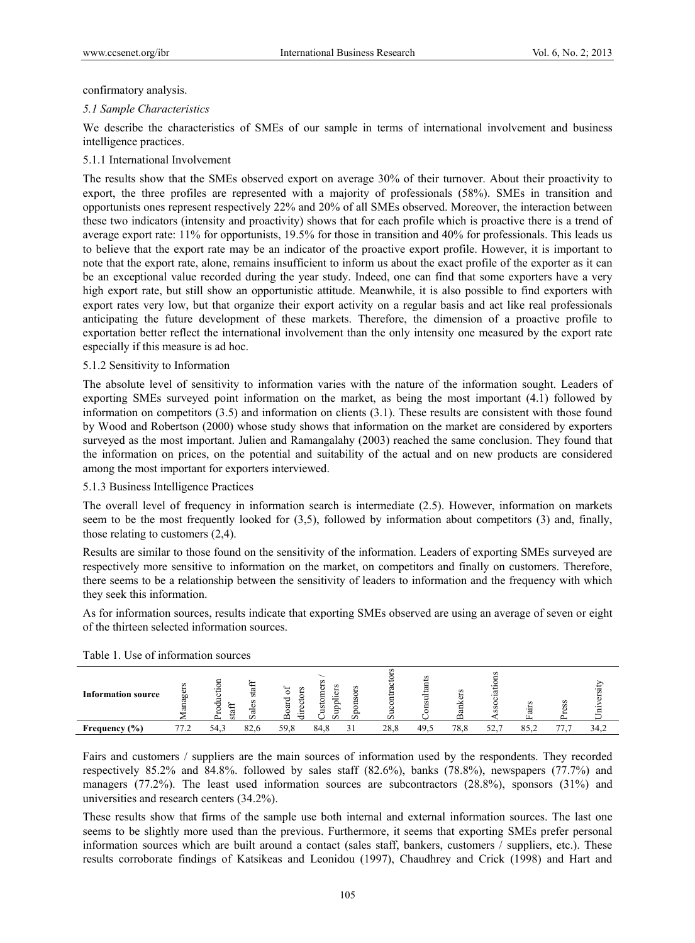confirmatory analysis.

# *5.1 Sample Characteristics*

We describe the characteristics of SMEs of our sample in terms of international involvement and business intelligence practices.

# 5.1.1 International Involvement

The results show that the SMEs observed export on average 30% of their turnover. About their proactivity to export, the three profiles are represented with a majority of professionals (58%). SMEs in transition and opportunists ones represent respectively 22% and 20% of all SMEs observed. Moreover, the interaction between these two indicators (intensity and proactivity) shows that for each profile which is proactive there is a trend of average export rate: 11% for opportunists, 19.5% for those in transition and 40% for professionals. This leads us to believe that the export rate may be an indicator of the proactive export profile. However, it is important to note that the export rate, alone, remains insufficient to inform us about the exact profile of the exporter as it can be an exceptional value recorded during the year study. Indeed, one can find that some exporters have a very high export rate, but still show an opportunistic attitude. Meanwhile, it is also possible to find exporters with export rates very low, but that organize their export activity on a regular basis and act like real professionals anticipating the future development of these markets. Therefore, the dimension of a proactive profile to exportation better reflect the international involvement than the only intensity one measured by the export rate especially if this measure is ad hoc.

# 5.1.2 Sensitivity to Information

The absolute level of sensitivity to information varies with the nature of the information sought. Leaders of exporting SMEs surveyed point information on the market, as being the most important (4.1) followed by information on competitors (3.5) and information on clients (3.1). These results are consistent with those found by Wood and Robertson (2000) whose study shows that information on the market are considered by exporters surveyed as the most important. Julien and Ramangalahy (2003) reached the same conclusion. They found that the information on prices, on the potential and suitability of the actual and on new products are considered among the most important for exporters interviewed.

# 5.1.3 Business Intelligence Practices

The overall level of frequency in information search is intermediate (2.5). However, information on markets seem to be the most frequently looked for (3,5), followed by information about competitors (3) and, finally, those relating to customers (2,4).

Results are similar to those found on the sensitivity of the information. Leaders of exporting SMEs surveyed are respectively more sensitive to information on the market, on competitors and finally on customers. Therefore, there seems to be a relationship between the sensitivity of leaders to information and the frequency with which they seek this information.

As for information sources, results indicate that exporting SMEs observed are using an average of seven or eight of the thirteen selected information sources.

| ---<br>.<br>.             |                   |                                                 |                                                 |                                        |      |      |        |     |              |   |      |
|---------------------------|-------------------|-------------------------------------------------|-------------------------------------------------|----------------------------------------|------|------|--------|-----|--------------|---|------|
| <b>Information source</b> | $\sim$<br>Φ<br>ōΩ | Ħ<br>5<br>Se<br>モ<br>⊁<br>Ξ<br>ದ<br>⊷<br>n<br>≏ | 5<br>s<br>₩<br>ರ<br>↩<br>è٦<br>ಕ<br>Φ<br>∞<br>∸ | s<br>$\mathbf{v}$<br>αJ<br>ಜ<br>₽<br>Ö |      | 름    | $\sim$ |     | s<br>'ਰ<br>匞 | s |      |
| Frequency $(\% )$         | 77 7              | 82,6<br>54.3                                    | 59,8                                            | 84,8                                   | 28,8 | 49.5 | 78.8   | 52. | 85,2         |   | 34.2 |

# Table 1. Use of information sources

Fairs and customers / suppliers are the main sources of information used by the respondents. They recorded respectively 85.2% and 84.8%. followed by sales staff (82.6%), banks (78.8%), newspapers (77.7%) and managers (77.2%). The least used information sources are subcontractors (28.8%), sponsors (31%) and universities and research centers (34.2%).

These results show that firms of the sample use both internal and external information sources. The last one seems to be slightly more used than the previous. Furthermore, it seems that exporting SMEs prefer personal information sources which are built around a contact (sales staff, bankers, customers / suppliers, etc.). These results corroborate findings of Katsikeas and Leonidou (1997), Chaudhrey and Crick (1998) and Hart and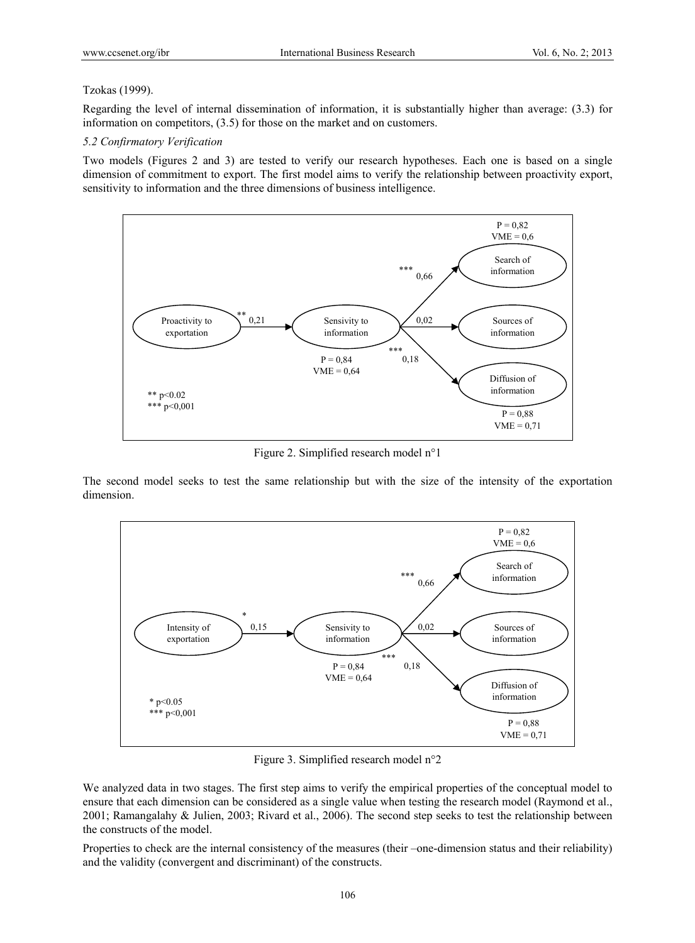# Tzokas (1999).

Regarding the level of internal dissemination of information, it is substantially higher than average: (3.3) for information on competitors, (3.5) for those on the market and on customers.

#### *5.2 Confirmatory Verification*

Two models (Figures 2 and 3) are tested to verify our research hypotheses. Each one is based on a single dimension of commitment to export. The first model aims to verify the relationship between proactivity export, sensitivity to information and the three dimensions of business intelligence.



Figure 2. Simplified research model n°1

The second model seeks to test the same relationship but with the size of the intensity of the exportation dimension.



Figure 3. Simplified research model n°2

We analyzed data in two stages. The first step aims to verify the empirical properties of the conceptual model to ensure that each dimension can be considered as a single value when testing the research model (Raymond et al., 2001; Ramangalahy & Julien, 2003; Rivard et al., 2006). The second step seeks to test the relationship between the constructs of the model.

Properties to check are the internal consistency of the measures (their –one-dimension status and their reliability) and the validity (convergent and discriminant) of the constructs.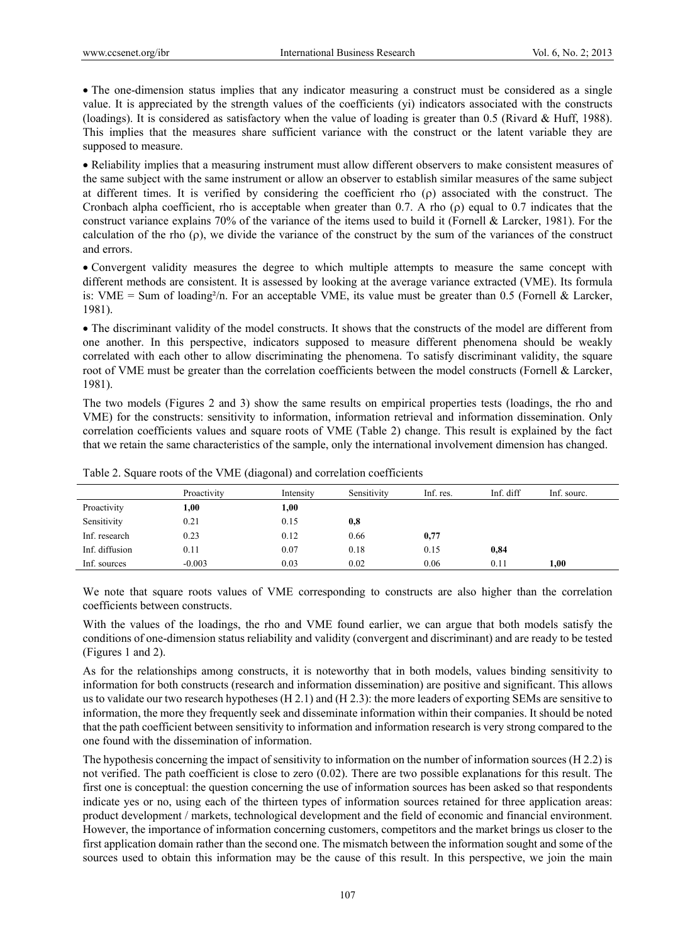The one-dimension status implies that any indicator measuring a construct must be considered as a single value. It is appreciated by the strength values of the coefficients (yi) indicators associated with the constructs (loadings). It is considered as satisfactory when the value of loading is greater than 0.5 (Rivard & Huff, 1988). This implies that the measures share sufficient variance with the construct or the latent variable they are supposed to measure.

 Reliability implies that a measuring instrument must allow different observers to make consistent measures of the same subject with the same instrument or allow an observer to establish similar measures of the same subject at different times. It is verified by considering the coefficient rho  $(\rho)$  associated with the construct. The Cronbach alpha coefficient, rho is acceptable when greater than 0.7. A rho  $(\rho)$  equal to 0.7 indicates that the construct variance explains 70% of the variance of the items used to build it (Fornell & Larcker, 1981). For the calculation of the rho  $(\rho)$ , we divide the variance of the construct by the sum of the variances of the construct and errors.

 Convergent validity measures the degree to which multiple attempts to measure the same concept with different methods are consistent. It is assessed by looking at the average variance extracted (VME). Its formula is: VME = Sum of loading<sup>2</sup>/n. For an acceptable VME, its value must be greater than 0.5 (Fornell & Larcker, 1981).

 The discriminant validity of the model constructs. It shows that the constructs of the model are different from one another. In this perspective, indicators supposed to measure different phenomena should be weakly correlated with each other to allow discriminating the phenomena. To satisfy discriminant validity, the square root of VME must be greater than the correlation coefficients between the model constructs (Fornell & Larcker, 1981).

The two models (Figures 2 and 3) show the same results on empirical properties tests (loadings, the rho and VME) for the constructs: sensitivity to information, information retrieval and information dissemination. Only correlation coefficients values and square roots of VME (Table 2) change. This result is explained by the fact that we retain the same characteristics of the sample, only the international involvement dimension has changed.

|                | Proactivity | Intensity | Sensitivity | Inf. res. | Inf. diff | Inf. sourc. |
|----------------|-------------|-----------|-------------|-----------|-----------|-------------|
| Proactivity    | 1,00        | 1,00      |             |           |           |             |
| Sensitivity    | 0.21        | 0.15      | 0,8         |           |           |             |
| Inf. research  | 0.23        | 0.12      | 0.66        | 0,77      |           |             |
| Inf. diffusion | 0.11        | 0.07      | 0.18        | 0.15      | 0,84      |             |
| Inf. sources   | $-0.003$    | 0.03      | 0.02        | 0.06      | 0.11      | 1.00        |

Table 2. Square roots of the VME (diagonal) and correlation coefficients

We note that square roots values of VME corresponding to constructs are also higher than the correlation coefficients between constructs.

With the values of the loadings, the rho and VME found earlier, we can argue that both models satisfy the conditions of one-dimension status reliability and validity (convergent and discriminant) and are ready to be tested (Figures 1 and 2).

As for the relationships among constructs, it is noteworthy that in both models, values binding sensitivity to information for both constructs (research and information dissemination) are positive and significant. This allows us to validate our two research hypotheses (H 2.1) and (H 2.3): the more leaders of exporting SEMs are sensitive to information, the more they frequently seek and disseminate information within their companies. It should be noted that the path coefficient between sensitivity to information and information research is very strong compared to the one found with the dissemination of information.

The hypothesis concerning the impact of sensitivity to information on the number of information sources (H 2.2) is not verified. The path coefficient is close to zero (0.02). There are two possible explanations for this result. The first one is conceptual: the question concerning the use of information sources has been asked so that respondents indicate yes or no, using each of the thirteen types of information sources retained for three application areas: product development / markets, technological development and the field of economic and financial environment. However, the importance of information concerning customers, competitors and the market brings us closer to the first application domain rather than the second one. The mismatch between the information sought and some of the sources used to obtain this information may be the cause of this result. In this perspective, we join the main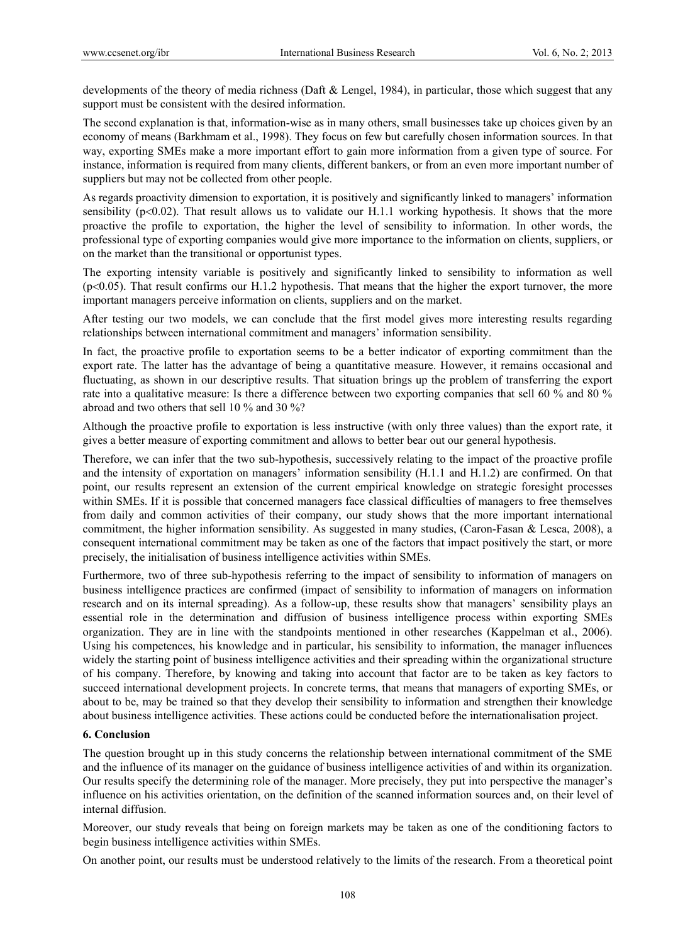developments of the theory of media richness (Daft & Lengel, 1984), in particular, those which suggest that any support must be consistent with the desired information.

The second explanation is that, information-wise as in many others, small businesses take up choices given by an economy of means (Barkhmam et al., 1998). They focus on few but carefully chosen information sources. In that way, exporting SMEs make a more important effort to gain more information from a given type of source. For instance, information is required from many clients, different bankers, or from an even more important number of suppliers but may not be collected from other people.

As regards proactivity dimension to exportation, it is positively and significantly linked to managers' information sensibility  $(p<0.02)$ . That result allows us to validate our H.1.1 working hypothesis. It shows that the more proactive the profile to exportation, the higher the level of sensibility to information. In other words, the professional type of exporting companies would give more importance to the information on clients, suppliers, or on the market than the transitional or opportunist types.

The exporting intensity variable is positively and significantly linked to sensibility to information as well  $(p<0.05)$ . That result confirms our H.1.2 hypothesis. That means that the higher the export turnover, the more important managers perceive information on clients, suppliers and on the market.

After testing our two models, we can conclude that the first model gives more interesting results regarding relationships between international commitment and managers' information sensibility.

In fact, the proactive profile to exportation seems to be a better indicator of exporting commitment than the export rate. The latter has the advantage of being a quantitative measure. However, it remains occasional and fluctuating, as shown in our descriptive results. That situation brings up the problem of transferring the export rate into a qualitative measure: Is there a difference between two exporting companies that sell 60 % and 80 % abroad and two others that sell 10 % and 30 %?

Although the proactive profile to exportation is less instructive (with only three values) than the export rate, it gives a better measure of exporting commitment and allows to better bear out our general hypothesis.

Therefore, we can infer that the two sub-hypothesis, successively relating to the impact of the proactive profile and the intensity of exportation on managers' information sensibility (H.1.1 and H.1.2) are confirmed. On that point, our results represent an extension of the current empirical knowledge on strategic foresight processes within SMEs. If it is possible that concerned managers face classical difficulties of managers to free themselves from daily and common activities of their company, our study shows that the more important international commitment, the higher information sensibility. As suggested in many studies, (Caron-Fasan & Lesca, 2008), a consequent international commitment may be taken as one of the factors that impact positively the start, or more precisely, the initialisation of business intelligence activities within SMEs.

Furthermore, two of three sub-hypothesis referring to the impact of sensibility to information of managers on business intelligence practices are confirmed (impact of sensibility to information of managers on information research and on its internal spreading). As a follow-up, these results show that managers' sensibility plays an essential role in the determination and diffusion of business intelligence process within exporting SMEs organization. They are in line with the standpoints mentioned in other researches (Kappelman et al., 2006). Using his competences, his knowledge and in particular, his sensibility to information, the manager influences widely the starting point of business intelligence activities and their spreading within the organizational structure of his company. Therefore, by knowing and taking into account that factor are to be taken as key factors to succeed international development projects. In concrete terms, that means that managers of exporting SMEs, or about to be, may be trained so that they develop their sensibility to information and strengthen their knowledge about business intelligence activities. These actions could be conducted before the internationalisation project.

# **6. Conclusion**

The question brought up in this study concerns the relationship between international commitment of the SME and the influence of its manager on the guidance of business intelligence activities of and within its organization. Our results specify the determining role of the manager. More precisely, they put into perspective the manager's influence on his activities orientation, on the definition of the scanned information sources and, on their level of internal diffusion.

Moreover, our study reveals that being on foreign markets may be taken as one of the conditioning factors to begin business intelligence activities within SMEs.

On another point, our results must be understood relatively to the limits of the research. From a theoretical point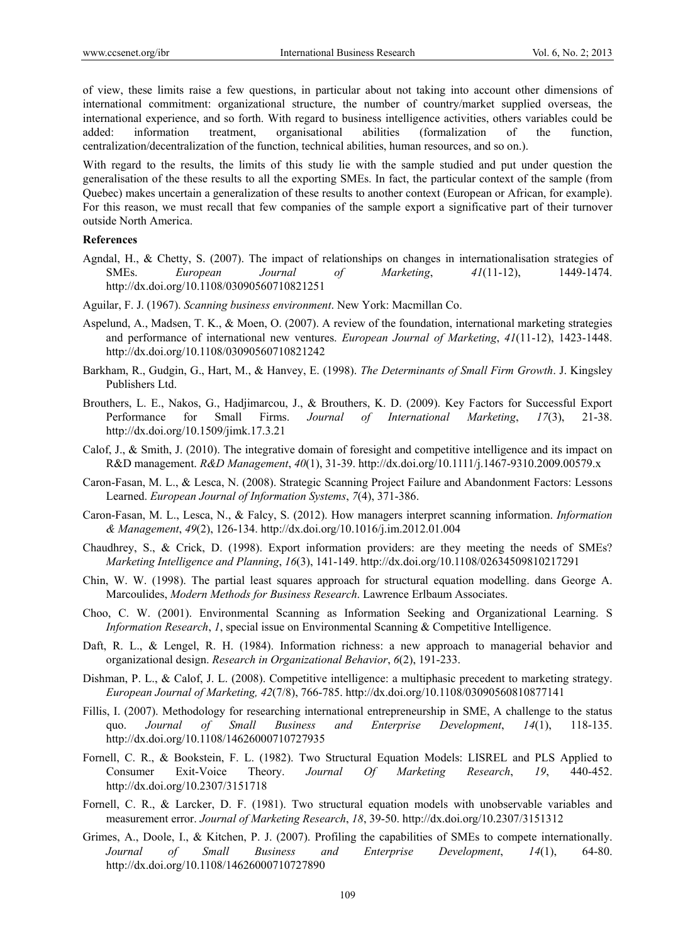of view, these limits raise a few questions, in particular about not taking into account other dimensions of international commitment: organizational structure, the number of country/market supplied overseas, the international experience, and so forth. With regard to business intelligence activities, others variables could be added: information treatment, organisational abilities (formalization of the function, centralization/decentralization of the function, technical abilities, human resources, and so on.).

With regard to the results, the limits of this study lie with the sample studied and put under question the generalisation of the these results to all the exporting SMEs. In fact, the particular context of the sample (from Quebec) makes uncertain a generalization of these results to another context (European or African, for example). For this reason, we must recall that few companies of the sample export a significative part of their turnover outside North America.

# **References**

- Agndal, H., & Chetty, S. (2007). The impact of relationships on changes in internationalisation strategies of SMEs. *European Journal of Marketing*, *41*(11-12), 1449-1474. http://dx.doi.org/10.1108/03090560710821251
- Aguilar, F. J. (1967). *Scanning business environment*. New York: Macmillan Co.
- Aspelund, A., Madsen, T. K., & Moen, O. (2007). A review of the foundation, international marketing strategies and performance of international new ventures. *European Journal of Marketing*, *41*(11-12), 1423-1448. http://dx.doi.org/10.1108/03090560710821242
- Barkham, R., Gudgin, G., Hart, M., & Hanvey, E. (1998). *The Determinants of Small Firm Growth*. J. Kingsley Publishers Ltd.
- Brouthers, L. E., Nakos, G., Hadjimarcou, J., & Brouthers, K. D. (2009). Key Factors for Successful Export Performance for Small Firms. *Journal of International Marketing*, *17*(3), 21-38. http://dx.doi.org/10.1509/jimk.17.3.21
- Calof, J., & Smith, J. (2010). The integrative domain of foresight and competitive intelligence and its impact on R&D management. *R&D Management*, *40*(1), 31-39. http://dx.doi.org/10.1111/j.1467-9310.2009.00579.x
- Caron-Fasan, M. L., & Lesca, N. (2008). Strategic Scanning Project Failure and Abandonment Factors: Lessons Learned. *European Journal of Information Systems*, *7*(4), 371-386.
- Caron-Fasan, M. L., Lesca, N., & Falcy, S. (2012). How managers interpret scanning information. *Information & Management*, *49*(2), 126-134. http://dx.doi.org/10.1016/j.im.2012.01.004
- Chaudhrey, S., & Crick, D. (1998). Export information providers: are they meeting the needs of SMEs? *Marketing Intelligence and Planning*, *16*(3), 141-149. http://dx.doi.org/10.1108/02634509810217291
- Chin, W. W. (1998). The partial least squares approach for structural equation modelling. dans George A. Marcoulides, *Modern Methods for Business Research*. Lawrence Erlbaum Associates.
- Choo, C. W. (2001). Environmental Scanning as Information Seeking and Organizational Learning. S *Information Research, 1, special issue on Environmental Scanning & Competitive Intelligence.*
- Daft, R. L., & Lengel, R. H. (1984). Information richness: a new approach to managerial behavior and organizational design. *Research in Organizational Behavior*, *6*(2), 191-233.
- Dishman, P. L., & Calof, J. L. (2008). Competitive intelligence: a multiphasic precedent to marketing strategy. *European Journal of Marketing, 42*(7/8), 766-785. http://dx.doi.org/10.1108/03090560810877141
- Fillis, I. (2007). Methodology for researching international entrepreneurship in SME, A challenge to the status quo. *Journal of Small Business and Enterprise Development*, *14*(1), 118-135. http://dx.doi.org/10.1108/14626000710727935
- Fornell, C. R., & Bookstein, F. L. (1982). Two Structural Equation Models: LISREL and PLS Applied to Consumer Exit-Voice Theory. *Journal Of Marketing Research*, *19*, 440-452. http://dx.doi.org/10.2307/3151718
- Fornell, C. R., & Larcker, D. F. (1981). Two structural equation models with unobservable variables and measurement error. *Journal of Marketing Research*, *18*, 39-50. http://dx.doi.org/10.2307/3151312
- Grimes, A., Doole, I., & Kitchen, P. J. (2007). Profiling the capabilities of SMEs to compete internationally. *Journal of Small Business and Enterprise Development*, *14*(1), 64-80. http://dx.doi.org/10.1108/14626000710727890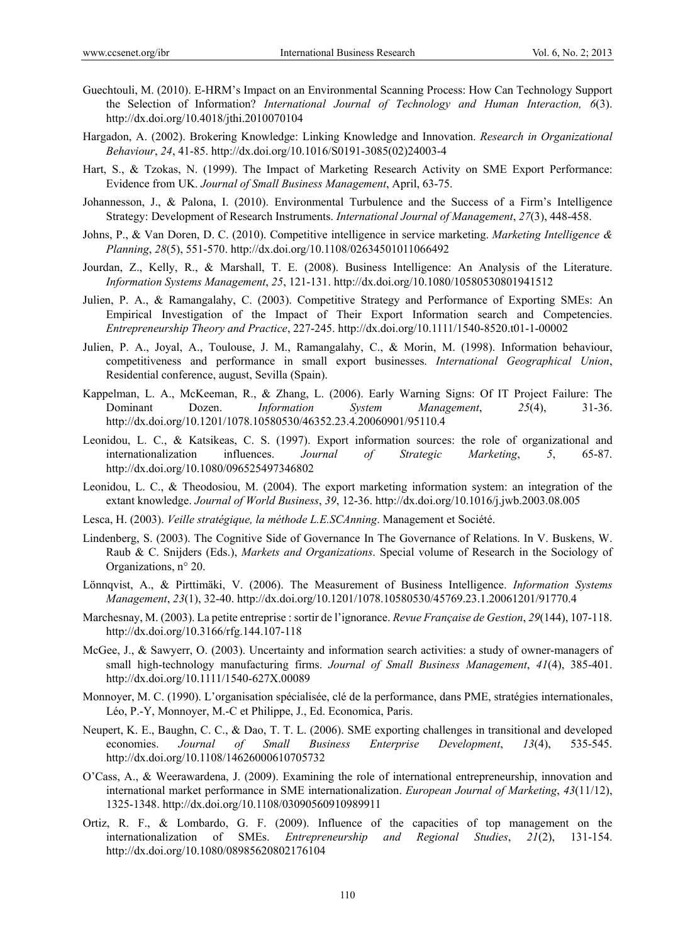- Guechtouli, M. (2010). E-HRM's Impact on an Environmental Scanning Process: How Can Technology Support the Selection of Information? *International Journal of Technology and Human Interaction, 6*(3). http://dx.doi.org/10.4018/jthi.2010070104
- Hargadon, A. (2002). Brokering Knowledge: Linking Knowledge and Innovation. *Research in Organizational Behaviour*, *24*, 41-85. http://dx.doi.org/10.1016/S0191-3085(02)24003-4
- Hart, S., & Tzokas, N. (1999). The Impact of Marketing Research Activity on SME Export Performance: Evidence from UK. *Journal of Small Business Management*, April, 63-75.
- Johannesson, J., & Palona, I. (2010). Environmental Turbulence and the Success of a Firm's Intelligence Strategy: Development of Research Instruments. *International Journal of Management*, *27*(3), 448-458.
- Johns, P., & Van Doren, D. C. (2010). Competitive intelligence in service marketing. *Marketing Intelligence & Planning*, *28*(5), 551-570. http://dx.doi.org/10.1108/02634501011066492
- Jourdan, Z., Kelly, R., & Marshall, T. E. (2008). Business Intelligence: An Analysis of the Literature. *Information Systems Management*, *25*, 121-131. http://dx.doi.org/10.1080/10580530801941512
- Julien, P. A., & Ramangalahy, C. (2003). Competitive Strategy and Performance of Exporting SMEs: An Empirical Investigation of the Impact of Their Export Information search and Competencies. *Entrepreneurship Theory and Practice*, 227-245. http://dx.doi.org/10.1111/1540-8520.t01-1-00002
- Julien, P. A., Joyal, A., Toulouse, J. M., Ramangalahy, C., & Morin, M. (1998). Information behaviour, competitiveness and performance in small export businesses. *International Geographical Union*, Residential conference, august, Sevilla (Spain).
- Kappelman, L. A., McKeeman, R., & Zhang, L. (2006). Early Warning Signs: Of IT Project Failure: The Dominant Dozen. *Information System Management*, *25*(4), 31-36. http://dx.doi.org/10.1201/1078.10580530/46352.23.4.20060901/95110.4
- Leonidou, L. C., & Katsikeas, C. S. (1997). Export information sources: the role of organizational and internationalization influences. *Journal of Strategic Marketing*, *5*, 65-87. http://dx.doi.org/10.1080/096525497346802
- Leonidou, L. C., & Theodosiou, M. (2004). The export marketing information system: an integration of the extant knowledge. *Journal of World Business*, *39*, 12-36. http://dx.doi.org/10.1016/j.jwb.2003.08.005
- Lesca, H. (2003). *Veille stratégique, la méthode L.E.SCAnning*. Management et Société.
- Lindenberg, S. (2003). The Cognitive Side of Governance In The Governance of Relations. In V. Buskens, W. Raub & C. Snijders (Eds.), *Markets and Organizations*. Special volume of Research in the Sociology of Organizations, n° 20.
- Lönnqvist, A., & Pirttimäki, V. (2006). The Measurement of Business Intelligence. *Information Systems Management*, *23*(1), 32-40. http://dx.doi.org/10.1201/1078.10580530/45769.23.1.20061201/91770.4
- Marchesnay, M. (2003). La petite entreprise : sortir de l'ignorance. *Revue Française de Gestion*, *29*(144), 107-118. http://dx.doi.org/10.3166/rfg.144.107-118
- McGee, J., & Sawyerr, O. (2003). Uncertainty and information search activities: a study of owner-managers of small high-technology manufacturing firms. *Journal of Small Business Management*, *41*(4), 385-401. http://dx.doi.org/10.1111/1540-627X.00089
- Monnoyer, M. C. (1990). L'organisation spécialisée, clé de la performance, dans PME, stratégies internationales, Léo, P.-Y, Monnoyer, M.-C et Philippe, J., Ed. Economica, Paris.
- Neupert, K. E., Baughn, C. C., & Dao, T. T. L. (2006). SME exporting challenges in transitional and developed economies. *Journal of Small Business Enterprise Development*, *13*(4), 535-545. http://dx.doi.org/10.1108/14626000610705732
- O'Cass, A., & Weerawardena, J. (2009). Examining the role of international entrepreneurship, innovation and international market performance in SME internationalization. *European Journal of Marketing*, *43*(11/12), 1325-1348. http://dx.doi.org/10.1108/03090560910989911
- Ortiz, R. F., & Lombardo, G. F. (2009). Influence of the capacities of top management on the internationalization of SMEs. *Entrepreneurship and Regional Studies*, *21*(2), 131-154. http://dx.doi.org/10.1080/08985620802176104